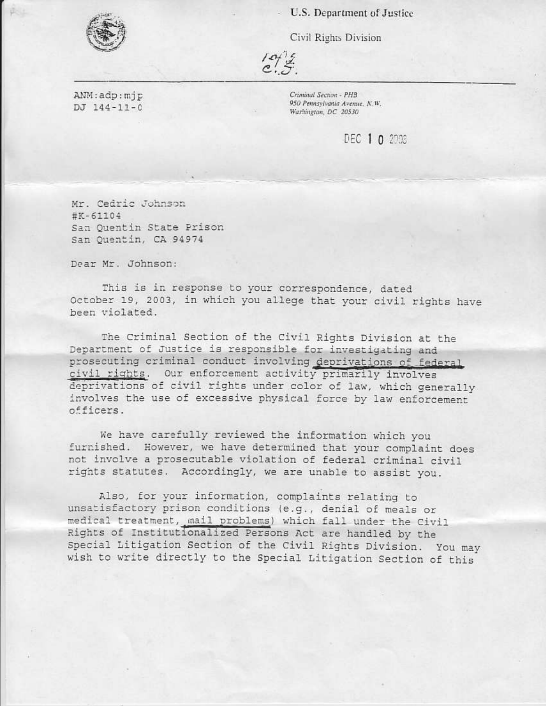U.S. Department of Justice

Civil Rights Division

ANM: adp: mjp DJ 144-11-0

Criminal Section - PHB 950 Pennsylvania Avenue, N.W. Washington, DC 20530

DEC 1 0 2008

Mr. Cedric Johnson  $#K - 61104$ San Quentin State Prison San Quentin, CA 94974

Dear Mr. Johnson:

This is in response to your correspondence, dated October 19, 2003, in which you allege that your civil rights have been violated.

The Criminal Section of the Civil Rights Division at the Department of Justice is responsible for investigating and prosecuting criminal conduct involving deprivations of federal civil rights. Our enforcement activity primarily involves deprivations of civil rights under color of law, which generally involves the use of excessive physical force by law enforcement officers.

We have carefully reviewed the information which you furnished. However, we have determined that your complaint does not involve a prosecutable violation of federal criminal civil rights statutes. Accordingly, we are unable to assist you.

Also, for your information, complaints relating to unsatisfactory prison conditions (e.g., denial of meals or medical treatment, mail problems) which fall under the Civil Rights of Institutionalized Persons Act are handled by the Special Litigation Section of the Civil Rights Division. You may wish to write directly to the Special Litigation Section of this